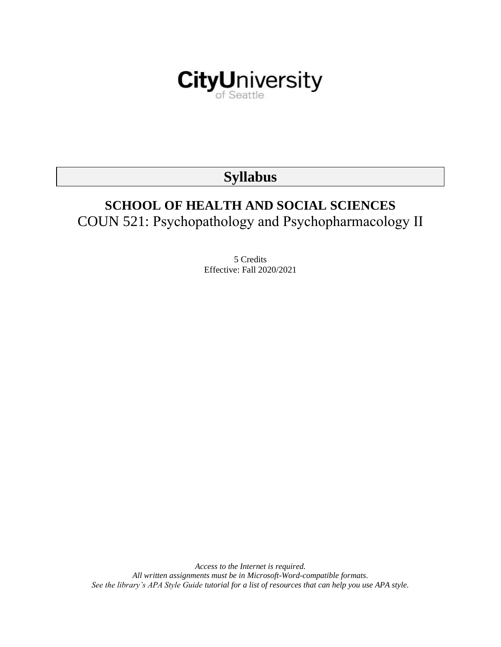

# **Syllabus**

# **SCHOOL OF HEALTH AND SOCIAL SCIENCES** COUN 521: Psychopathology and Psychopharmacology II

5 Credits Effective: Fall 2020/2021

*Access to the Internet is required. All written assignments must be in Microsoft-Word-compatible formats. See the library's APA Style Guide tutorial for a list of resources that can help you use APA style.*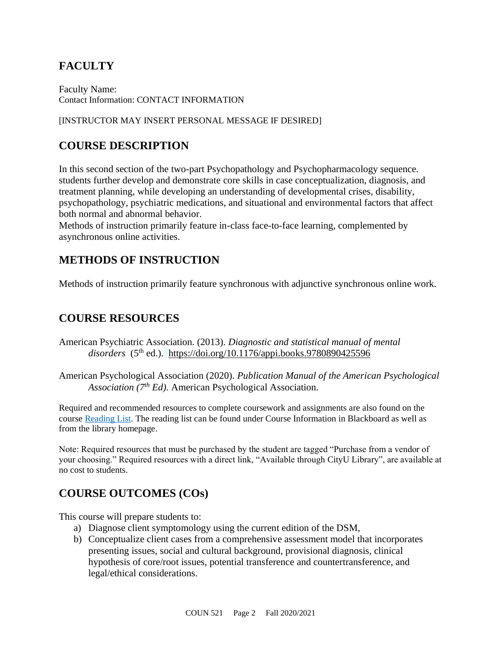# **FACULTY**

Faculty Name: Contact Information: CONTACT INFORMATION

### [INSTRUCTOR MAY INSERT PERSONAL MESSAGE IF DESIRED]

# **COURSE DESCRIPTION**

In this second section of the two-part Psychopathology and Psychopharmacology sequence. students further develop and demonstrate core skills in case conceptualization, diagnosis, and treatment planning, while developing an understanding of developmental crises, disability, psychopathology, psychiatric medications, and situational and environmental factors that affect both normal and abnormal behavior.

Methods of instruction primarily feature in-class face-to-face learning, complemented by asynchronous online activities.

# **METHODS OF INSTRUCTION**

Methods of instruction primarily feature synchronous with adjunctive synchronous online work.

# **COURSE RESOURCES**

American Psychiatric Association. (2013). *Diagnostic and statistical manual of mental disorders* (5th ed.). <https://doi.org/10.1176/appi.books.9780890425596>

American Psychological Association (2020). *Publication Manual of the American Psychological Association (7th Ed).* American Psychological Association.

Required and recommended resources to complete coursework and assignments are also found on the course [Reading List.](https://nam03.safelinks.protection.outlook.com/?url=https%3A%2F%2Fcityu.alma.exlibrisgroup.com%2Fleganto%2Flogin%3Fauth%3DSAML&data=04%7C01%7CMMara%40cityu.edu%7C70673ce0fe0144040eda08d87472e204%7Cb3fa96d9f5154662add763d854e39e63%7C1%7C0%7C637387384066198115%7CUnknown%7CTWFpbGZsb3d8eyJWIjoiMC4wLjAwMDAiLCJQIjoiV2luMzIiLCJBTiI6Ik1haWwiLCJXVCI6Mn0%3D%7C1000&sdata=JbwP%2Fm5Q%2BMgIUWa%2FXceos%2BoiLv0DX%2B%2FL%2BNGNMbX9P8E%3D&reserved=0) The reading list can be found under Course Information in Blackboard as well as from the library homepage.

Note: Required resources that must be purchased by the student are tagged "Purchase from a vendor of your choosing." Required resources with a direct link, "Available through CityU Library", are available at no cost to students.

# **COURSE OUTCOMES (COs)**

This course will prepare students to:

- a) Diagnose client symptomology using the current edition of the DSM,
- b) Conceptualize client cases from a comprehensive assessment model that incorporates presenting issues, social and cultural background, provisional diagnosis, clinical hypothesis of core/root issues, potential transference and countertransference, and legal/ethical considerations.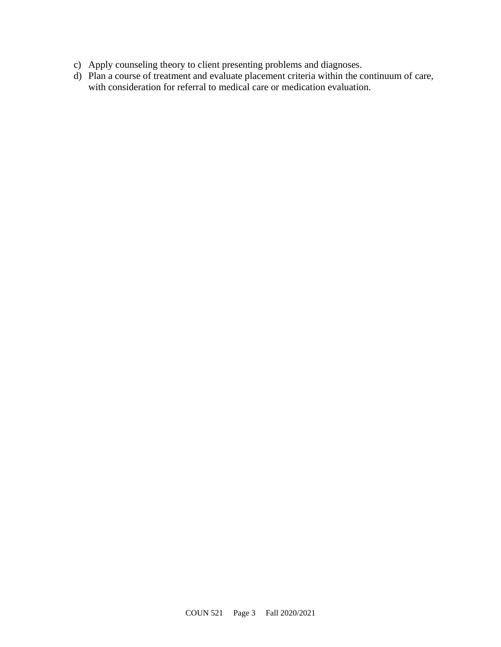- c) Apply counseling theory to client presenting problems and diagnoses.
- d) Plan a course of treatment and evaluate placement criteria within the continuum of care, with consideration for referral to medical care or medication evaluation.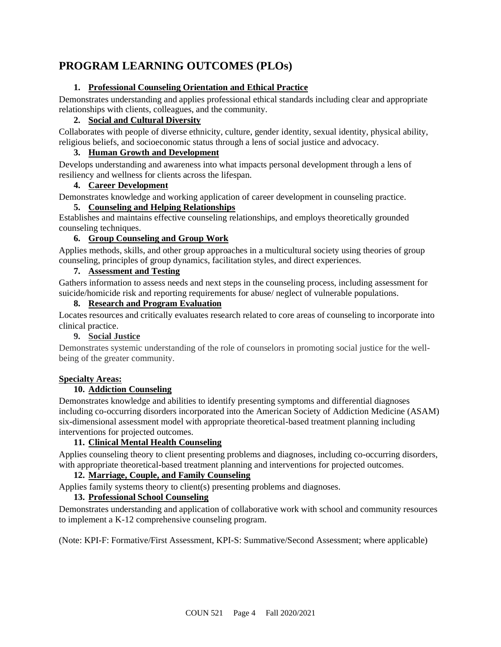# **PROGRAM LEARNING OUTCOMES (PLOs)**

### **1. Professional Counseling Orientation and Ethical Practice**

Demonstrates understanding and applies professional ethical standards including clear and appropriate relationships with clients, colleagues, and the community.

### **2. Social and Cultural Diversity**

Collaborates with people of diverse ethnicity, culture, gender identity, sexual identity, physical ability, religious beliefs, and socioeconomic status through a lens of social justice and advocacy.

### **3. Human Growth and Development**

Develops understanding and awareness into what impacts personal development through a lens of resiliency and wellness for clients across the lifespan.

### **4. Career Development**

Demonstrates knowledge and working application of career development in counseling practice.

### **5. Counseling and Helping Relationships**

Establishes and maintains effective counseling relationships, and employs theoretically grounded counseling techniques.

### **6. Group Counseling and Group Work**

Applies methods, skills, and other group approaches in a multicultural society using theories of group counseling, principles of group dynamics, facilitation styles, and direct experiences.

### **7. Assessment and Testing**

Gathers information to assess needs and next steps in the counseling process, including assessment for suicide/homicide risk and reporting requirements for abuse/ neglect of vulnerable populations.

### **8. Research and Program Evaluation**

Locates resources and critically evaluates research related to core areas of counseling to incorporate into clinical practice.

### **9. Social Justice**

Demonstrates systemic understanding of the role of counselors in promoting social justice for the wellbeing of the greater community.

### **Specialty Areas:**

### **10. Addiction Counseling**

Demonstrates knowledge and abilities to identify presenting symptoms and differential diagnoses including co-occurring disorders incorporated into the American Society of Addiction Medicine (ASAM) six-dimensional assessment model with appropriate theoretical-based treatment planning including interventions for projected outcomes.

### **11. Clinical Mental Health Counseling**

Applies counseling theory to client presenting problems and diagnoses, including co-occurring disorders, with appropriate theoretical-based treatment planning and interventions for projected outcomes.

### **12. Marriage, Couple, and Family Counseling**

Applies family systems theory to client(s) presenting problems and diagnoses.

### **13. Professional School Counseling**

Demonstrates understanding and application of collaborative work with school and community resources to implement a K-12 comprehensive counseling program.

(Note: KPI-F: Formative/First Assessment, KPI-S: Summative/Second Assessment; where applicable)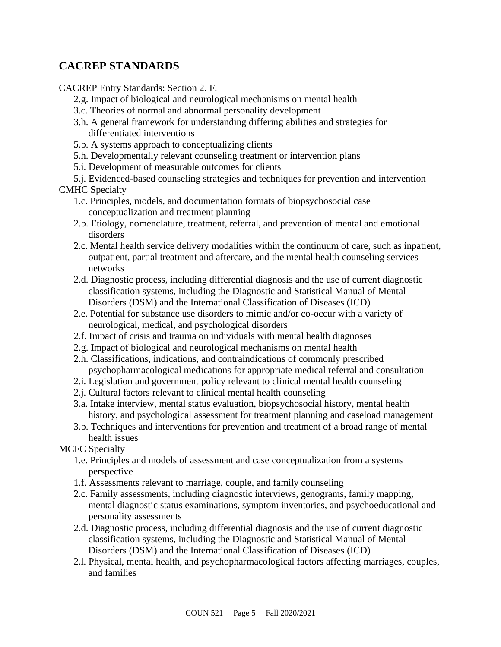# **CACREP STANDARDS**

CACREP Entry Standards: Section 2. F.

- 2.g. Impact of biological and neurological mechanisms on mental health
- 3.c. Theories of normal and abnormal personality development
- 3.h. A general framework for understanding differing abilities and strategies for differentiated interventions
- 5.b. A systems approach to conceptualizing clients
- 5.h. Developmentally relevant counseling treatment or intervention plans
- 5.i. Development of measurable outcomes for clients
- 5.j. Evidenced-based counseling strategies and techniques for prevention and intervention

CMHC Specialty

- 1.c. Principles, models, and documentation formats of biopsychosocial case conceptualization and treatment planning
- 2.b. Etiology, nomenclature, treatment, referral, and prevention of mental and emotional disorders
- 2.c. Mental health service delivery modalities within the continuum of care, such as inpatient, outpatient, partial treatment and aftercare, and the mental health counseling services networks
- 2.d. Diagnostic process, including differential diagnosis and the use of current diagnostic classification systems, including the Diagnostic and Statistical Manual of Mental Disorders (DSM) and the International Classification of Diseases (ICD)
- 2.e. Potential for substance use disorders to mimic and/or co-occur with a variety of neurological, medical, and psychological disorders
- 2.f. Impact of crisis and trauma on individuals with mental health diagnoses
- 2.g. Impact of biological and neurological mechanisms on mental health
- 2.h. Classifications, indications, and contraindications of commonly prescribed psychopharmacological medications for appropriate medical referral and consultation
- 2.i. Legislation and government policy relevant to clinical mental health counseling
- 2.j. Cultural factors relevant to clinical mental health counseling
- 3.a. Intake interview, mental status evaluation, biopsychosocial history, mental health history, and psychological assessment for treatment planning and caseload management
- 3.b. Techniques and interventions for prevention and treatment of a broad range of mental health issues
- MCFC Specialty
	- 1.e. Principles and models of assessment and case conceptualization from a systems perspective
	- 1.f. Assessments relevant to marriage, couple, and family counseling
	- 2.c. Family assessments, including diagnostic interviews, genograms, family mapping, mental diagnostic status examinations, symptom inventories, and psychoeducational and personality assessments
	- 2.d. Diagnostic process, including differential diagnosis and the use of current diagnostic classification systems, including the Diagnostic and Statistical Manual of Mental Disorders (DSM) and the International Classification of Diseases (ICD)
	- 2.l. Physical, mental health, and psychopharmacological factors affecting marriages, couples, and families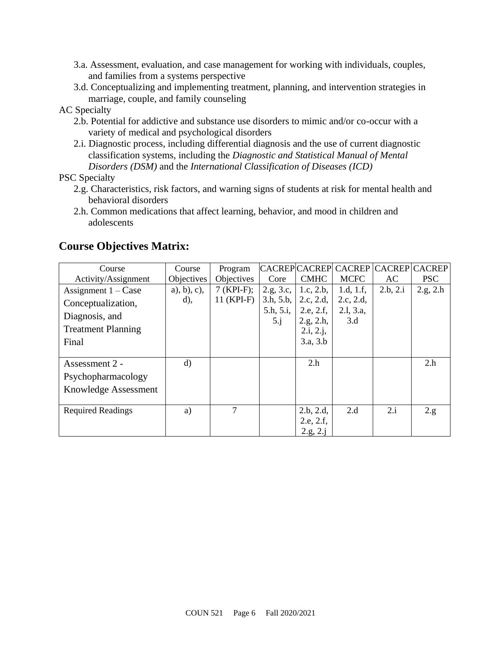- 3.a. Assessment, evaluation, and case management for working with individuals, couples, and families from a systems perspective
- 3.d. Conceptualizing and implementing treatment, planning, and intervention strategies in marriage, couple, and family counseling

### AC Specialty

- 2.b. Potential for addictive and substance use disorders to mimic and/or co-occur with a variety of medical and psychological disorders
- 2.i. Diagnostic process, including differential diagnosis and the use of current diagnostic classification systems, including the *Diagnostic and Statistical Manual of Mental Disorders (DSM)* and the *International Classification of Diseases (ICD)*

PSC Specialty

- 2.g. Characteristics, risk factors, and warning signs of students at risk for mental health and behavioral disorders
- 2.h. Common medications that affect learning, behavior, and mood in children and adolescents

| Course                    | Course         | Program           |             |                        | CACREPCACREPCACREPCACREPCACREP |          |            |
|---------------------------|----------------|-------------------|-------------|------------------------|--------------------------------|----------|------------|
| Activity/Assignment       | Objectives     | <b>Objectives</b> | Core        | <b>CMHC</b>            | <b>MCFC</b>                    | AC       | <b>PSC</b> |
| Assignment $1 - Case$     | $a)$ , b), c), | $7$ (KPI-F);      | 2.g, 3.c,   | 1.c, 2.b,              | 1.d, $1.f$ ,                   | 2.b, 2.i | 2.g, 2.h   |
| Conceptualization,        | $(d)$ ,        | $11$ (KPI-F)      | 3.h, 5.b,   | 2.c, 2.d,              | 2.c, 2.d,                      |          |            |
| Diagnosis, and            |                |                   | 5.h, 5.i,   | 2.e, 2.f,              | 2.1, 3.a,<br>3.d               |          |            |
| <b>Treatment Planning</b> |                |                   | $5 \cdot j$ | 2.g, 2.h,<br>2.i, 2.j, |                                |          |            |
| Final                     |                |                   |             | 3.a, 3.b               |                                |          |            |
|                           |                |                   |             |                        |                                |          |            |
| Assessment 2 -            | $\mathbf{d}$   |                   |             | 2.h                    |                                |          | 2.h        |
| Psychopharmacology        |                |                   |             |                        |                                |          |            |
| Knowledge Assessment      |                |                   |             |                        |                                |          |            |
|                           |                |                   |             |                        |                                |          |            |
| <b>Required Readings</b>  | a)             | 7                 |             | 2.b, 2.d,              | 2.d                            | 2.i      | 2.g.       |
|                           |                |                   |             | 2.e, 2.f,              |                                |          |            |
|                           |                |                   |             | 2.g, 2.j               |                                |          |            |

### **Course Objectives Matrix:**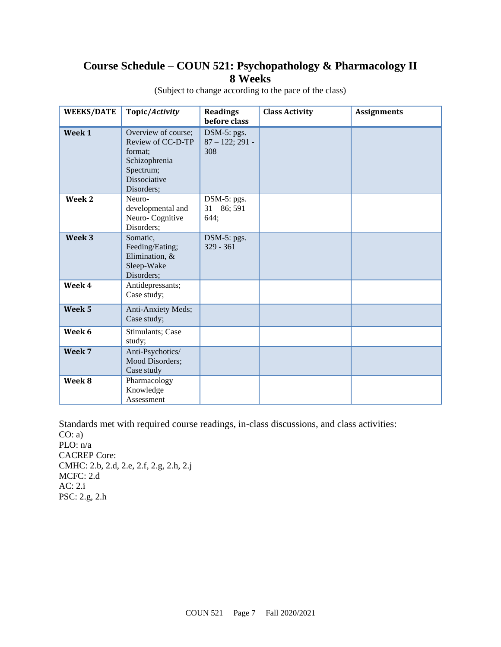# **Course Schedule – COUN 521: Psychopathology & Pharmacology II 8 Weeks**

| <b>WEEKS/DATE</b> | Topic/Activity                                                                                                  | <b>Readings</b><br>before class          | <b>Class Activity</b> | <b>Assignments</b> |
|-------------------|-----------------------------------------------------------------------------------------------------------------|------------------------------------------|-----------------------|--------------------|
| Week 1            | Overview of course;<br>Review of CC-D-TP<br>format;<br>Schizophrenia<br>Spectrum;<br>Dissociative<br>Disorders; | DSM-5: pgs.<br>$87 - 122$ ; 291 -<br>308 |                       |                    |
| Week 2            | Neuro-<br>developmental and<br>Neuro-Cognitive<br>Disorders;                                                    | DSM-5: pgs.<br>$31 - 86$ ; 591 -<br>644; |                       |                    |
| Week <sub>3</sub> | Somatic,<br>Feeding/Eating;<br>Elimination, &<br>Sleep-Wake<br>Disorders;                                       | $DSM-5: pgs.$<br>$329 - 361$             |                       |                    |
| Week 4            | Antidepressants;<br>Case study;                                                                                 |                                          |                       |                    |
| Week 5            | Anti-Anxiety Meds;<br>Case study;                                                                               |                                          |                       |                    |
| Week 6            | Stimulants; Case<br>study;                                                                                      |                                          |                       |                    |
| Week 7            | Anti-Psychotics/<br>Mood Disorders;<br>Case study                                                               |                                          |                       |                    |
| Week 8            | Pharmacology<br>Knowledge<br>Assessment                                                                         |                                          |                       |                    |

(Subject to change according to the pace of the class)

Standards met with required course readings, in-class discussions, and class activities:  $CO: a)$ PLO: n/a CACREP Core: CMHC: 2.b, 2.d, 2.e, 2.f, 2.g, 2.h, 2.j MCFC: 2.d AC: 2.i PSC: 2.g, 2.h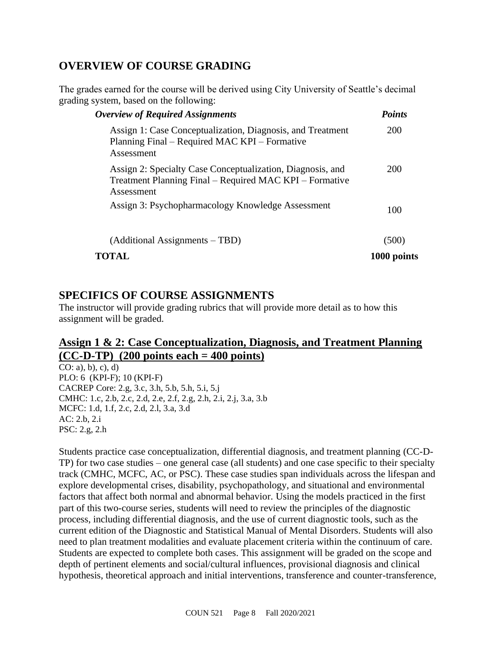# **OVERVIEW OF COURSE GRADING**

The grades earned for the course will be derived using City University of Seattle's decimal grading system, based on the following:

| <b>Overview of Required Assignments</b>                                                                                             | <b>Points</b> |
|-------------------------------------------------------------------------------------------------------------------------------------|---------------|
| Assign 1: Case Conceptualization, Diagnosis, and Treatment<br>Planning Final – Required MAC KPI – Formative<br>Assessment           | <b>200</b>    |
| Assign 2: Specialty Case Conceptualization, Diagnosis, and<br>Treatment Planning Final – Required MAC KPI – Formative<br>Assessment | 200           |
| Assign 3: Psychopharmacology Knowledge Assessment                                                                                   | 100           |
| (Additional Assignments – TBD)                                                                                                      | (500          |
| TOTAL                                                                                                                               | 1000 points   |

### **SPECIFICS OF COURSE ASSIGNMENTS**

The instructor will provide grading rubrics that will provide more detail as to how this assignment will be graded.

### **Assign 1 & 2: Case Conceptualization, Diagnosis, and Treatment Planning (CC-D-TP) (200 points each = 400 points)**

 $\overline{CO: a)$ , b), c), d) PLO: 6 (KPI-F); 10 (KPI-F) CACREP Core: 2.g, 3.c, 3.h, 5.b, 5.h, 5.i, 5.j CMHC: 1.c, 2.b, 2.c, 2.d, 2.e, 2.f, 2.g, 2.h, 2.i, 2.j, 3.a, 3.b MCFC: 1.d, 1.f, 2.c, 2.d, 2.l, 3.a, 3.d AC: 2.b, 2.i PSC: 2.g, 2.h

Students practice case conceptualization, differential diagnosis, and treatment planning (CC-D-TP) for two case studies – one general case (all students) and one case specific to their specialty track (CMHC, MCFC, AC, or PSC). These case studies span individuals across the lifespan and explore developmental crises, disability, psychopathology, and situational and environmental factors that affect both normal and abnormal behavior. Using the models practiced in the first part of this two-course series, students will need to review the principles of the diagnostic process, including differential diagnosis, and the use of current diagnostic tools, such as the current edition of the Diagnostic and Statistical Manual of Mental Disorders. Students will also need to plan treatment modalities and evaluate placement criteria within the continuum of care. Students are expected to complete both cases. This assignment will be graded on the scope and depth of pertinent elements and social/cultural influences, provisional diagnosis and clinical hypothesis, theoretical approach and initial interventions, transference and counter-transference,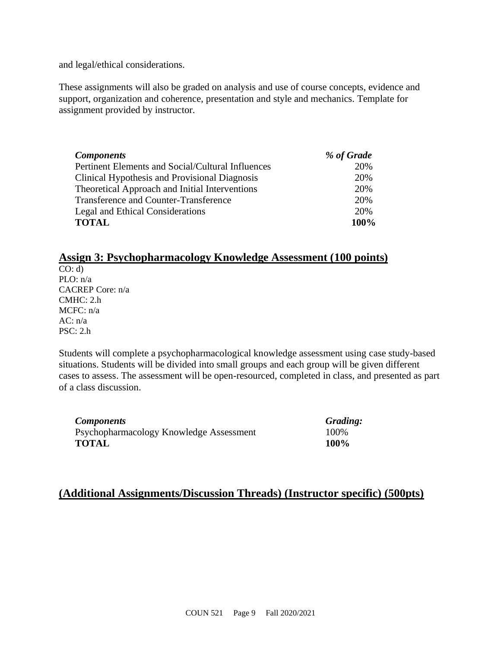and legal/ethical considerations.

These assignments will also be graded on analysis and use of course concepts, evidence and support, organization and coherence, presentation and style and mechanics. Template for assignment provided by instructor.

| <b>Components</b>                                 | % of Grade |
|---------------------------------------------------|------------|
| Pertinent Elements and Social/Cultural Influences | 20%        |
| Clinical Hypothesis and Provisional Diagnosis     | 20%        |
| Theoretical Approach and Initial Interventions    | 20%        |
| Transference and Counter-Transference             | 20%        |
| Legal and Ethical Considerations                  | 20%        |
| <b>TOTAL</b>                                      | 100%       |

# **Assign 3: Psychopharmacology Knowledge Assessment (100 points)**

 $CO: d$ PLO: n/a CACREP Core: n/a CMHC: 2.h MCFC: n/a  $AC: n/a$ PSC: 2.h

Students will complete a psychopharmacological knowledge assessment using case study-based situations. Students will be divided into small groups and each group will be given different cases to assess. The assessment will be open-resourced, completed in class, and presented as part of a class discussion.

*Components Grading:* Psychopharmacology Knowledge Assessment 100% **TOTAL 100%**

### **(Additional Assignments/Discussion Threads) (Instructor specific) (500pts)**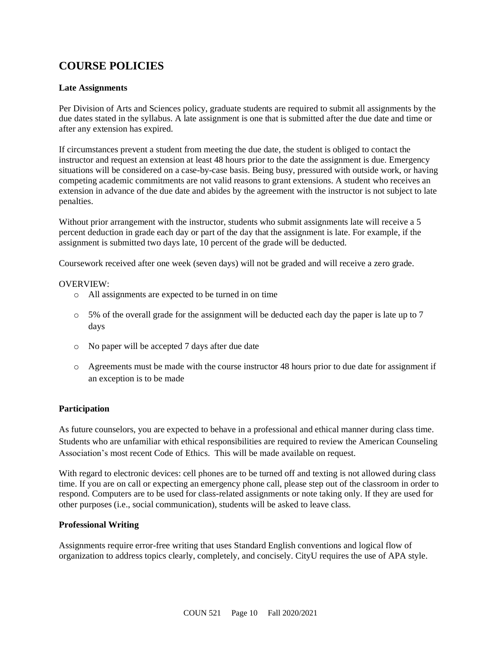# **COURSE POLICIES**

### **Late Assignments**

Per Division of Arts and Sciences policy, graduate students are required to submit all assignments by the due dates stated in the syllabus. A late assignment is one that is submitted after the due date and time or after any extension has expired.

If circumstances prevent a student from meeting the due date, the student is obliged to contact the instructor and request an extension at least 48 hours prior to the date the assignment is due. Emergency situations will be considered on a case-by-case basis. Being busy, pressured with outside work, or having competing academic commitments are not valid reasons to grant extensions. A student who receives an extension in advance of the due date and abides by the agreement with the instructor is not subject to late penalties.

Without prior arrangement with the instructor, students who submit assignments late will receive a 5 percent deduction in grade each day or part of the day that the assignment is late. For example, if the assignment is submitted two days late, 10 percent of the grade will be deducted.

Coursework received after one week (seven days) will not be graded and will receive a zero grade.

#### OVERVIEW:

- o All assignments are expected to be turned in on time
- $\circ$  5% of the overall grade for the assignment will be deducted each day the paper is late up to 7 days
- o No paper will be accepted 7 days after due date
- o Agreements must be made with the course instructor 48 hours prior to due date for assignment if an exception is to be made

### **Participation**

As future counselors, you are expected to behave in a professional and ethical manner during class time. Students who are unfamiliar with ethical responsibilities are required to review the American Counseling Association's most recent Code of Ethics. This will be made available on request.

With regard to electronic devices: cell phones are to be turned off and texting is not allowed during class time. If you are on call or expecting an emergency phone call, please step out of the classroom in order to respond. Computers are to be used for class-related assignments or note taking only. If they are used for other purposes (i.e., social communication), students will be asked to leave class.

### **Professional Writing**

Assignments require error-free writing that uses Standard English conventions and logical flow of organization to address topics clearly, completely, and concisely. CityU requires the use of APA style.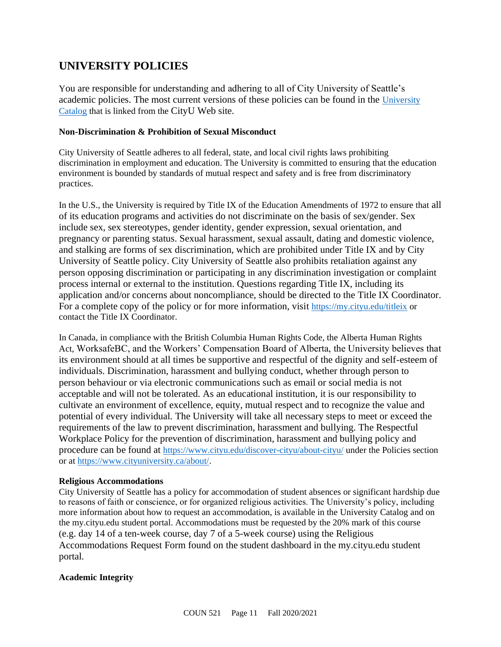# **UNIVERSITY POLICIES**

You are responsible for understanding and adhering to all of City University of Seattle's academic policies. The most current versions of these policies can be found in the [University](https://www.cityu.edu/catalog/)  [Catalog](https://www.cityu.edu/catalog/) that is linked from the CityU Web site.

#### **Non-Discrimination & Prohibition of Sexual Misconduct**

City University of Seattle adheres to all federal, state, and local civil rights laws prohibiting discrimination in employment and education. The University is committed to ensuring that the education environment is bounded by standards of mutual respect and safety and is free from discriminatory practices.

In the U.S., the University is required by Title IX of the Education Amendments of 1972 to ensure that all of its education programs and activities do not discriminate on the basis of sex/gender. Sex include sex, sex stereotypes, gender identity, gender expression, sexual orientation, and pregnancy or parenting status. Sexual harassment, sexual assault, dating and domestic violence, and stalking are forms of sex discrimination, which are prohibited under Title IX and by City University of Seattle policy. City University of Seattle also prohibits retaliation against any person opposing discrimination or participating in any discrimination investigation or complaint process internal or external to the institution. Questions regarding Title IX, including its application and/or concerns about noncompliance, should be directed to the Title IX Coordinator. For a complete copy of the policy or for more information, visit <https://my.cityu.edu/titleix> or contact the Title IX Coordinator.

In Canada, in compliance with the British Columbia Human Rights Code, the Alberta Human Rights Act, WorksafeBC, and the Workers' Compensation Board of Alberta, the University believes that its environment should at all times be supportive and respectful of the dignity and self-esteem of individuals. Discrimination, harassment and bullying conduct, whether through person to person behaviour or via electronic communications such as email or social media is not acceptable and will not be tolerated. As an educational institution, it is our responsibility to cultivate an environment of excellence, equity, mutual respect and to recognize the value and potential of every individual. The University will take all necessary steps to meet or exceed the requirements of the law to prevent discrimination, harassment and bullying. The Respectful Workplace Policy for the prevention of discrimination, harassment and bullying policy and procedure can be found at <https://www.cityu.edu/discover-cityu/about-cityu/> under the Policies section or at <https://www.cityuniversity.ca/about/>.

#### **Religious Accommodations**

City University of Seattle has a policy for accommodation of student absences or significant hardship due to reasons of faith or conscience, or for organized religious activities. The University's policy, including more information about how to request an accommodation, is available in the University Catalog and on the my.cityu.edu student portal. Accommodations must be requested by the 20% mark of this course (e.g. day 14 of a ten-week course, day 7 of a 5-week course) using the Religious Accommodations Request Form found on the student dashboard in the my.cityu.edu student portal.

### **Academic Integrity**